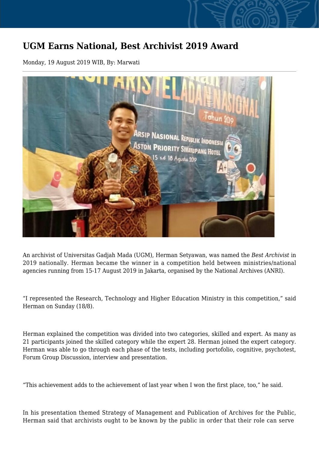## **UGM Earns National, Best Archivist 2019 Award**

Monday, 19 August 2019 WIB, By: Marwati



An archivist of Universitas Gadjah Mada (UGM), Herman Setyawan, was named the *Best Archivist* in 2019 nationally. Herman became the winner in a competition held between ministries/national agencies running from 15-17 August 2019 in Jakarta, organised by the National Archives (ANRI).

"I represented the Research, Technology and Higher Education Ministry in this competition," said Herman on Sunday (18/8).

Herman explained the competition was divided into two categories, skilled and expert. As many as 21 participants joined the skilled category while the expert 28. Herman joined the expert category. Herman was able to go through each phase of the tests, including portofolio, cognitive, psychotest, Forum Group Discussion, interview and presentation.

"This achievement adds to the achievement of last year when I won the first place, too," he said.

In his presentation themed Strategy of Management and Publication of Archives for the Public, Herman said that archivists ought to be known by the public in order that their role can serve